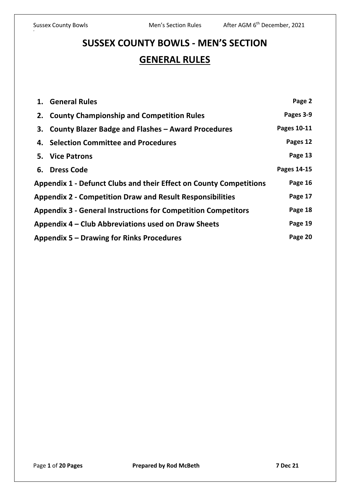# **SUSSEX COUNTY BOWLS - MEN'S SECTION GENERAL RULES**

|                                                                             | 1. General Rules                                      | Page 2      |  |  |
|-----------------------------------------------------------------------------|-------------------------------------------------------|-------------|--|--|
|                                                                             | 2. County Championship and Competition Rules          | Pages 3-9   |  |  |
|                                                                             | 3. County Blazer Badge and Flashes - Award Procedures | Pages 10-11 |  |  |
|                                                                             | 4. Selection Committee and Procedures                 | Pages 12    |  |  |
|                                                                             | 5. Vice Patrons                                       | Page 13     |  |  |
|                                                                             | 6. Dress Code                                         | Pages 14-15 |  |  |
| <b>Appendix 1 - Defunct Clubs and their Effect on County Competitions</b>   |                                                       |             |  |  |
| Page 17<br><b>Appendix 2 - Competition Draw and Result Responsibilities</b> |                                                       |             |  |  |
| <b>Appendix 3 - General Instructions for Competition Competitors</b>        |                                                       |             |  |  |
| Appendix 4 – Club Abbreviations used on Draw Sheets                         |                                                       |             |  |  |
| <b>Appendix 5 – Drawing for Rinks Procedures</b>                            |                                                       |             |  |  |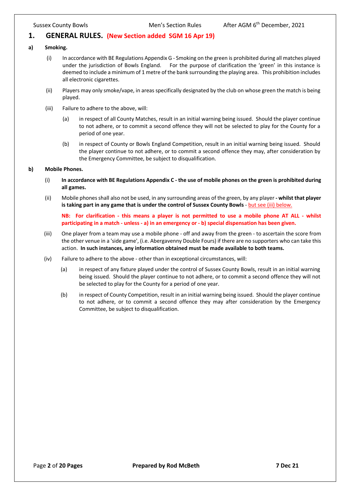# **1. GENERAL RULES. (New Section added SGM 16 Apr 19)**

#### **a) Smoking.**

- (i) In accordance with BE Regulations Appendix G Smoking on the green is prohibited during all matches played under the jurisdiction of Bowls England. For the purpose of clarification the 'green' in this instance is deemed to include a minimum of 1 metre of the bank surrounding the playing area. This prohibition includes all electronic cigarettes.
- (ii) Players may only smoke/vape, in areas specifically designated by the club on whose green the match is being played.
- (iii) Failure to adhere to the above, will:
	- (a) in respect of all County Matches, result in an initial warning being issued. Should the player continue to not adhere, or to commit a second offence they will not be selected to play for the County for a period of one year.
	- (b) in respect of County or Bowls England Competition, result in an initial warning being issued. Should the player continue to not adhere, or to commit a second offence they may, after consideration by the Emergency Committee, be subject to disqualification.

#### **b) Mobile Phones.**

- (i) **In accordance with BE Regulations Appendix C - the use of mobile phones on the green is prohibited during all games.**
- (ii) Mobile phones shall also not be used, in any surrounding areas of the green, by any player **- whilst that player is taking part in any game that is under the control of Sussex County Bowls** - but see (iii) below.

**NB: For clarification - this means a player is not permitted to use a mobile phone AT ALL - whilst participating in a match - unless - a) in an emergency or - b) special dispensation has been given.**

- (iii) One player from a team may use a mobile phone off and away from the green to ascertain the score from the other venue in a 'side game', (i.e. Abergavenny Double Fours) if there are no supporters who can take this action. **In such instances, any information obtained must be made available to both teams.**
- (iv) Failure to adhere to the above other than in exceptional circumstances, will:
	- (a) in respect of any fixture played under the control of Sussex County Bowls, result in an initial warning being issued. Should the player continue to not adhere, or to commit a second offence they will not be selected to play for the County for a period of one year.
	- (b) in respect of County Competition, result in an initial warning being issued. Should the player continue to not adhere, or to commit a second offence they may after consideration by the Emergency Committee, be subject to disqualification.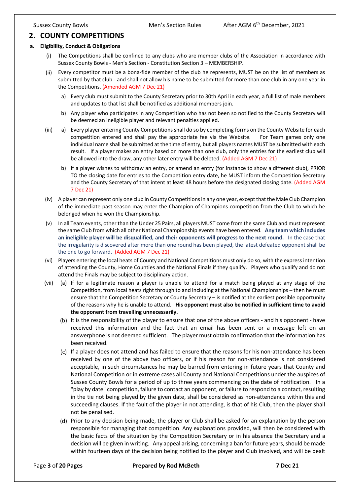# **2. COUNTY COMPETITIONS**

#### **a. Eligibility, Conduct & Obligations**

- (i) The Competitions shall be confined to any clubs who are member clubs of the Association in accordance with Sussex County Bowls - Men's Section - Constitution Section 3 – MEMBERSHIP.
- (ii) Every competitor must be a bona-fide member of the club he represents, MUST be on the list of members as submitted by that club - and shall not allow his name to be submitted for more than one club in any one year in the Competitions. (Amended AGM 7 Dec 21)
	- a) Every club must submit to the County Secretary prior to 30th April in each year, a full list of male members and updates to that list shall be notified as additional members join.
	- b) Any player who participates in any Competition who has not been so notified to the County Secretary will be deemed an ineligible player and relevant penalties applied.
- (iii) a) Every player entering County Competitions shall do so by completing forms on the County Website for each competition entered and shall pay the appropriate fee via the Website. For Team games only one individual name shall be submitted at the time of entry, but all players names MUST be submitted with each result. If a player makes an entry based on more than one club, only the entries for the earliest club will be allowed into the draw, any other later entry will be deleted. (Added AGM 7 Dec 21)
	- b) If a player wishes to withdraw an entry, or amend an entry (for instance to show a different club), PRIOR TO the closing date for entries to the Competition entry date, he MUST inform the Competition Secretary and the County Secretary of that intent at least 48 hours before the designated closing date. (Added AGM 7 Dec 21)
- (iv) A player can represent only one club in County Competitions in any one year, except that the Male Club Champion of the immediate past season may enter the Champion of Champions competition from the Club to which he belonged when he won the Championship.
- (v) In all Team events, other than the Under 25 Pairs, all players MUST come from the same Club and must represent the same Club from which all other National Championship events have been entered. **Any team which includes an ineligible player will be disqualified, and their opponents will progress to the next round.** In the case that the irregularity is discovered after more than one round has been played, the latest defeated opponent shall be the one to go forward. (Added AGM 7 Dec 21)
- (vi) Players entering the local heats of County and National Competitions must only do so, with the express intention of attending the County, Home Counties and the National Finals if they qualify. Players who qualify and do not attend the Finals may be subject to disciplinary action.
- (vii) (a) If for a legitimate reason a player is unable to attend for a match being played at any stage of the Competition, from local heats right through to and including at the National Championships – then he must ensure that the Competition Secretary or County Secretary – is notified at the earliest possible opportunity of the reasons why he is unable to attend. **His opponent must also be notified in sufficient time to avoid the opponent from travelling unnecessarily.**
	- (b) It is the responsibility of the player to ensure that one of the above officers and his opponent have received this information and the fact that an email has been sent or a message left on an answerphone is not deemed sufficient. The player must obtain confirmation that the information has been received.
	- (c) If a player does not attend and has failed to ensure that the reasons for his non-attendance has been received by one of the above two officers, or if his reason for non-attendance is not considered acceptable, in such circumstances he may be barred from entering in future years that County and National Competition or in extreme cases all County and National Competitions under the auspices of Sussex County Bowls for a period of up to three years commencing on the date of notification. In a "play by date" competition, failure to contact an opponent, or failure to respond to a contact, resulting in the tie not being played by the given date, shall be considered as non-attendance within this and succeeding clauses. If the fault of the player in not attending, is that of his Club, then the player shall not be penalised.
	- (d) Prior to any decision being made, the player or Club shall be asked for an explanation by the person responsible for managing that competition. Any explanations provided, will then be considered with the basic facts of the situation by the Competition Secretary or in his absence the Secretary and a decision will be given in writing. Any appeal arising, concerning a ban for future years, should be made within fourteen days of the decision being notified to the player and Club involved, and will be dealt

#### Page **3** of **20 Pages Prepared by Rod McBeth 7 Dec 21**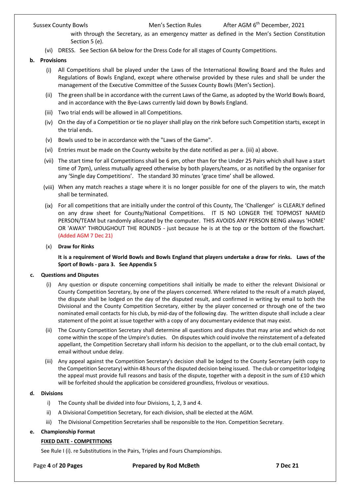with through the Secretary, as an emergency matter as defined in the Men's Section Constitution Section 5 (e).

- (vi) DRESS. See Section 6A below for the Dress Code for all stages of County Competitions.
- **b. Provisions**
	- (i) All Competitions shall be played under the Laws of the International Bowling Board and the Rules and Regulations of Bowls England, except where otherwise provided by these rules and shall be under the management of the Executive Committee of the Sussex County Bowls (Men's Section).
	- (ii) The green shall be in accordance with the current Laws of the Game, as adopted by the World Bowls Board, and in accordance with the Bye-Laws currently laid down by Bowls England.
	- (iii) Two trial ends will be allowed in all Competitions.
	- (iv) On the day of a Competition or tie no player shall play on the rink before such Competition starts, except in the trial ends.
	- (v) Bowls used to be in accordance with the "Laws of the Game".
	- (vi) Entries must be made on the County website by the date notified as per a. (iii) a) above.
	- (vii) The start time for all Competitions shall be 6 pm, other than for the Under 25 Pairs which shall have a start time of 7pm), unless mutually agreed otherwise by both players/teams, or as notified by the organiser for any 'Single day Competitions'. The standard 30 minutes 'grace time' shall be allowed.
	- (viii) When any match reaches a stage where it is no longer possible for one of the players to win, the match shall be terminated.
	- (ix) For all competitions that are initially under the control of this County, The 'Challenger' is CLEARLY defined on any draw sheet for County/National Competitions. IT IS NO LONGER THE TOPMOST NAMED PERSON/TEAM but randomly allocated by the computer. THIS AVOIDS ANY PERSON BEING always 'HOME' OR 'AWAY' THROUGHOUT THE ROUNDS - just because he is at the top or the bottom of the flowchart. (Added AGM 7 Dec 21)
	- (x) **Draw for Rinks**

**It is a requirement of World Bowls and Bowls England that players undertake a draw for rinks. Laws of the Sport of Bowls - para 3. See Appendix 5**

### **c. Questions and Disputes**

- (i) Any question or dispute concerning competitions shall initially be made to either the relevant Divisional or County Competition Secretary, by one of the players concerned. Where related to the result of a match played, the dispute shall be lodged on the day of the disputed result, and confirmed in writing by email to both the Divisional and the County Competition Secretary, either by the player concerned or through one of the two nominated email contacts for his club, by mid-day of the following day. The written dispute shall include a clear statement of the point at issue together with a copy of any documentary evidence that may exist.
- (ii) The County Competition Secretary shall determine all questions and disputes that may arise and which do not come within the scope of the Umpire's duties. On disputes which could involve the reinstatement of a defeated appellant, the Competition Secretary shall inform his decision to the appellant, or to the club email contact, by email without undue delay.
- (iii) Any appeal against the Competition Secretary's decision shall be lodged to the County Secretary (with copy to the Competition Secretary) within 48 hours of the disputed decision being issued. The club or competitor lodging the appeal must provide full reasons and basis of the dispute, together with a deposit in the sum of £10 which will be forfeited should the application be considered groundless, frivolous or vexatious.

### **d. Divisions**

- i) The County shall be divided into four Divisions, 1, 2, 3 and 4.
- ii) A Divisional Competition Secretary, for each division, shall be elected at the AGM.
- iii) The Divisional Competition Secretaries shall be responsible to the Hon. Competition Secretary.

# **e. Championship Format**

### **FIXED DATE - COMPETITIONS**

See Rule I (i). re Substitutions in the Pairs, Triples and Fours Championships.

Page **4** of **20 Pages Prepared by Rod McBeth 7 Dec 21**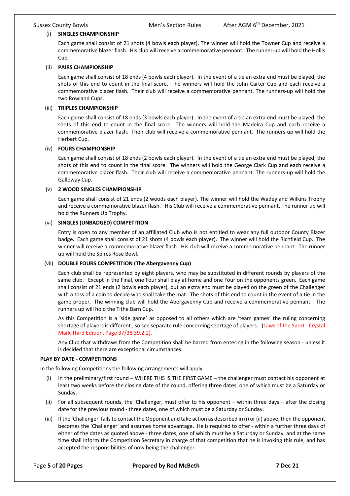#### (i) **SINGLES CHAMPIONSHIP**

Each game shall consist of 21 shots (4 bowls each player). The winner will hold the Towner Cup and receive a commemorative blazer flash. His club will receive a commemorative pennant. The runner-up will hold the Hollis Cup.

#### (ii) **PAIRS CHAMPIONSHIP**

Each game shall consist of 18 ends (4 bowls each player). In the event of a tie an extra end must be played, the shots of this end to count in the final score. The winners will hold the John Carter Cup and each receive a commemorative blazer flash. Their club will receive a commemorative pennant. The runners-up will hold the two Rowland Cups.

#### (iii) **TRIPLES CHAMPIONSHIP**

Each game shall consist of 18 ends (3 bowls each player). In the event of a tie an extra end must be played, the shots of this end to count in the final score. The winners will hold the Madeira Cup and each receive a commemorative blazer flash. Their club will receive a commemorative pennant. The runners-up will hold the Herbert Cup.

#### (iv) **FOURS CHAMPIONSHIP**

Each game shall consist of 18 ends (2 bowls each player). In the event of a tie an extra end must be played, the shots of this end to count in the final score. The winners will hold the George Clark Cup and each receive a commemorative blazer flash. Their club will receive a commemorative pennant. The runners-up will hold the Galloway Cup.

#### (v) **2 WOOD SINGLES CHAMPIONSHIP**

Each game shall consist of 21 ends (2 woods each player). The winner will hold the Wadey and Wilkins Trophy and receive a commemorative blazer flash. His Club will receive a commemorative pennant. The runner up will hold the Runners Up Trophy.

#### (vi) **SINGLES (UNBADGED) COMPETITION**

Entry is open to any member of an affiliated Club who is not entitled to wear any full outdoor County Blazer badge. Each game shall consist of 21 shots (4 bowls each player). The winner will hold the Richfield Cup. The winner will receive a commemorative blazer flash. His club will receive a commemorative pennant. The runner up will hold the Spires Rose Bowl.

#### (vii) **DOUBLE FOURS COMPETITION (The Abergavenny Cup)**

Each club shall be represented by eight players, who may be substituted in different rounds by players of the same club. Except in the Final, one Four shall play at home and one Four on the opponents green. Each game shall consist of 21 ends (2 bowls each player), but an extra end must be played on the green of the Challenger with a toss of a coin to decide who shall take the mat. The shots of this end to count in the event of a tie in the game proper. The winning club will hold the Abergavenny Cup and receive a commemorative pennant. The runners up will hold the Tithe Barn Cup.

As this Competition is a 'side game' as opposed to all others which are 'team games' the ruling concerning shortage of players is different., so see separate rule concerning shortage of players. (Laws of the Sport - Crystal Mark Third Edition, Page 37/38 39.2.2).

Any Club that withdraws from the Competition shall be barred from entering in the following season - unless it is decided that there are exceptional circumstances.

#### **PLAY BY DATE - COMPETITIONS**

In the following Competitions the following arrangements will apply:

- In the preliminary/first round WHERE THIS IS THE FIRST GAME the challenger must contact his opponent at least two weeks before the closing date of the round, offering three dates, one of which must be a Saturday or Sunday.
- (ii) For all subsequent rounds, the 'Challenger, must offer to his opponent within three days after the closing date for the previous round - three dates, one of which must be a Saturday or Sunday.
- (iii) If the 'Challenger' fails to contact the Opponent and take action as described in (i) or (ii) above, then the opponent becomes the 'Challenger' and assumes home advantage. He is required to offer - within a further three days of either of the dates as quoted above - three dates, one of which must be a Saturday or Sunday, and at the same time shall inform the Competition Secretary in charge of that competition that he is invoking this rule, and has accepted the responsibilities of now being the challenger.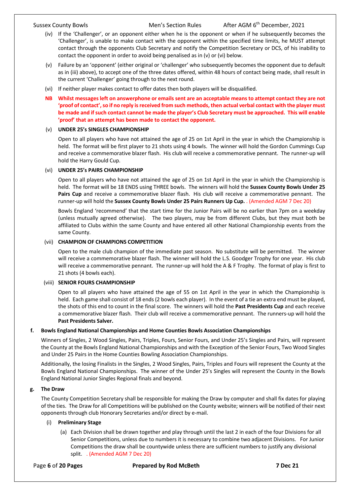- (iv) If the 'Challenger', or an opponent either when he is the opponent or when if he subsequently becomes the 'Challenger', is unable to make contact with the opponent within the specified time limits, he MUST attempt contact through the opponents Club Secretary and notify the Competition Secretary or DCS, of his inability to contact the opponent in order to avoid being penalised as in (v) or (vi) below.
- (v) Failure by an 'opponent' (either original or 'challenger' who subsequently becomes the opponent due to default as in (iii) above), to accept one of the three dates offered, within 48 hours of contact being made, shall result in the current 'Challenger' going through to the next round.
- (vi) If neither player makes contact to offer dates then both players will be disqualified.

### **NB Whilst messages left on answerphone or emails sent are an acceptable means to attempt contact they are not 'proof of contact', so if no reply is received from such methods, then actual verbal contact with the player must be made and if such contact cannot be made the player's Club Secretary must be approached. This will enable 'proof' that an attempt has been made to contact the opponent.**

#### (v) **UNDER 25's SINGLES CHAMPIONSHIP**

Open to all players who have not attained the age of 25 on 1st April in the year in which the Championship is held. The format will be first player to 21 shots using 4 bowls. The winner will hold the Gordon Cummings Cup and receive a commemorative blazer flash. His club will receive a commemorative pennant. The runner-up will hold the Harry Gould Cup.

#### (vi) **UNDER 25's PAIRS CHAMPIONSHIP**

Open to all players who have not attained the age of 25 on 1st April in the year in which the Championship is held. The format will be 18 ENDS using THREE bowls. The winners will hold the **Sussex County Bowls Under 25 Pairs Cup** and receive a commemorative blazer flash. His club will receive a commemorative pennant. The runner-up will hold the **Sussex County Bowls Under 25 Pairs Runners Up Cup.** . (Amended AGM 7 Dec 20)

Bowls England 'recommend' that the start time for the Junior Pairs will be no earlier than 7pm on a weekday (unless mutually agreed otherwise). The two players, may be from different Clubs, but they must both be affiliated to Clubs within the same County and have entered all other National Championship events from the same County.

#### (vii) **CHAMPION OF CHAMPIONS COMPETITION**

Open to the male club champion of the immediate past season. No substitute will be permitted. The winner will receive a commemorative blazer flash. The winner will hold the L.S. Goodger Trophy for one year. His club will receive a commemorative pennant. The runner-up will hold the A & F Trophy. The format of play is first to 21 shots (4 bowls each).

#### (viii) **SENIOR FOURS CHAMPIONSHIP**

Open to all players who have attained the age of 55 on 1st April in the year in which the Championship is held. Each game shall consist of 18 ends (2 bowls each player). In the event of a tie an extra end must be played, the shots of this end to count in the final score. The winners will hold the **Past Presidents Cup** and each receive a commemorative blazer flash. Their club will receive a commemorative pennant. The runners-up will hold the **Past Presidents Salver.**

#### **f. Bowls England National Championships and Home Counties Bowls Association Championships**

Winners of Singles, 2 Wood Singles, Pairs, Triples, Fours, Senior Fours, and Under 25's Singles and Pairs, will represent the County at the Bowls England National Championships and with the Exception of the Senior Fours, Two Wood Singles and Under 25 Pairs in the Home Counties Bowling Association Championships.

Additionally, the losing Finalists in the Singles, 2 Wood Singles, Pairs, Triples and Fours will represent the County at the Bowls England National Championships. The winner of the Under 25's Singles will represent the County in the Bowls England National Junior Singles Regional finals and beyond.

#### **g. The Draw**

The County Competition Secretary shall be responsible for making the Draw by computer and shall fix dates for playing of the ties. The Draw for all Competitions will be published on the County website; winners will be notified of their next opponents through club Honorary Secretaries and/or direct by e-mail.

#### (i) **Preliminary Stage**

(a) Each Division shall be drawn together and play through until the last 2 in each of the four Divisions for all Senior Competitions, unless due to numbers it is necessary to combine two adjacent Divisions. For Junior Competitions the draw shall be countywide unless there are sufficient numbers to justify any divisional split. . (Amended AGM 7 Dec 20)

#### Page **6** of **20 Pages Prepared by Rod McBeth 7 Dec 21**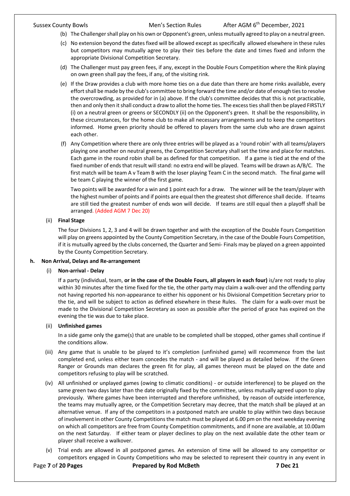- (b) The Challenger shall play on his own or Opponent's green, unless mutually agreed to play on a neutral green.
- (c) No extension beyond the dates fixed will be allowed except as specifically allowed elsewhere in these rules but competitors may mutually agree to play their ties before the date and times fixed and inform the appropriate Divisional Competition Secretary.
- (d) The Challenger must pay green fees, if any, except in the Double Fours Competition where the Rink playing on own green shall pay the fees, if any, of the visiting rink.
- (e) If the Draw provides a club with more home ties on a due date than there are home rinks available, every effort shall be made by the club's committee to bring forward the time and/or date of enough ties to resolve the overcrowding, as provided for in (a) above. If the club's committee decides that this is not practicable, then and only then it shall conduct a draw to allot the home ties. The excess ties shall then be played FIRSTLY (i) on a neutral green or greens or SECONDLY (ii) on the Opponent's green. It shall be the responsibility, in these circumstances, for the home club to make all necessary arrangements and to keep the competitors informed. Home green priority should be offered to players from the same club who are drawn against each other.
- (f) Any Competition where there are only three entries will be played as a 'round robin' with all teams/players playing one another on neutral greens, the Competition Secretary shall set the time and place for matches. Each game in the round robin shall be as defined for that competition. If a game is tied at the end of the fixed number of ends that result will stand: no extra end will be played. Teams will be drawn as A/B/C. The first match will be team A v Team B with the loser playing Team C in the second match. The final game will be team C playing the winner of the first game.

Two points will be awarded for a win and 1 point each for a draw. The winner will be the team/player with the highest number of points and if points are equal then the greatest shot difference shall decide. If teams are still tied the greatest number of ends won will decide. If teams are still equal then a playoff shall be arranged. (Added AGM 7 Dec 20)

### (ii) **Final Stage**

The four Divisions 1, 2, 3 and 4 will be drawn together and with the exception of the Double Fours Competition will play on greens appointed by the County Competition Secretary, in the case of the Double Fours Competition, if it is mutually agreed by the clubs concerned, the Quarter and Semi- Finals may be played on a green appointed by the County Competition Secretary.

### **h. Non Arrival, Delays and Re-arrangement**

### (i) **Non-arrival - Delay**

If a party (individual, team, **or in the case of the Double Fours, all players in each four)** is/are not ready to play within 30 minutes after the time fixed for the tie, the other party may claim a walk-over and the offending party not having reported his non-appearance to either his opponent or his Divisional Competition Secretary prior to the tie, and will be subject to action as defined elsewhere in these Rules. The claim for a walk-over must be made to the Divisional Competition Secretary as soon as possible after the period of grace has expired on the evening the tie was due to take place.

#### (ii) **Unfinished games**

In a side game only the game(s) that are unable to be completed shall be stopped, other games shall continue if the conditions allow.

- (iii) Any game that is unable to be played to it's completion (unfinished game) will recommence from the last completed end, unless either team concedes the match - and will be played as detailed below. If the Green Ranger or Grounds man declares the green fit for play, all games thereon must be played on the date and competitors refusing to play will be scratched.
- (iv) All unfinished or unplayed games (owing to climatic conditions) or outside interference) to be played on the same green two days later than the date originally fixed by the committee, unless mutually agreed upon to play previously. Where games have been interrupted and therefore unfinished, by reason of outside interference, the teams may mutually agree, or the Competition Secretary may decree, that the match shall be played at an alternative venue. If any of the competitors in a postponed match are unable to play within two days because of involvement in other County Competitions the match must be played at 6.00 pm on the next weekday evening on which all competitors are free from County Competition commitments, and if none are available, at 10.00am on the next Saturday. If either team or player declines to play on the next available date the other team or player shall receive a walkover.
- (v) Trial ends are allowed in all postponed games. An extension of time will be allowed to any competitor or competitors engaged in County Competitions who may be selected to represent their country in any event in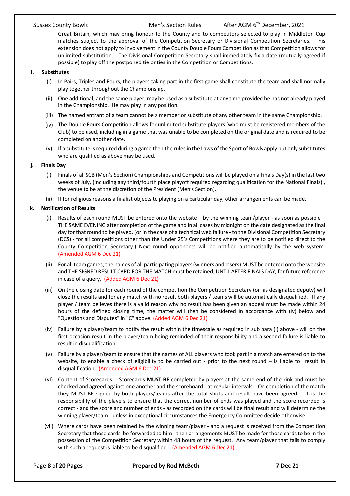Great Britain, which may bring honour to the County and to competitors selected to play in Middleton Cup matches subject to the approval of the Competition Secretary or Divisional Competition Secretaries. This extension does not apply to involvement in the County Double Fours Competition asthat Competition allows for unlimited substitution. The Divisional Competition Secretary shall immediately fix a date (mutually agreed if possible) to play off the postponed tie or ties in the Competition or Competitions.

#### **i. Substitutes**

- (i) In Pairs, Triples and Fours, the players taking part in the first game shall constitute the team and shall normally play together throughout the Championship.
- (ii) One additional, and the same player, may be used as a substitute at any time provided he has not already played in the Championship. He may play in any position.
- (iii) The named entrant of a team cannot be a member or substitute of any other team in the same Championship.
- (iv) The Double Fours Competition allows for unlimited substitute players (who must be registered members of the Club) to be used, including in a game that was unable to be completed on the original date and is required to be completed on another date.
- (v) If a substitute is required during a game then the rules in the Laws of the Sport of Bowls apply but only substitutes who are qualified as above may be used.

#### **j. Finals Day**

- (i) Finals of all SCB (Men's Section) Championships and Competitions will be played on a Finals Day(s) in the last two weeks of July, (including any third/fourth place playoff required regarding qualification for the National Finals) , the venue to be at the discretion of the President (Men's Section).
- (ii) If for religious reasons a finalist objects to playing on a particular day, other arrangements can be made.

#### **k. Notification of Results**

- (i) Results of each round MUST be entered onto the website by the winning team/player as soon as possible THE SAME EVENING after completion of the game and in all cases by midnight on the date designated as the final day for that round to be played. (or in the case of a technical web failure - to the Divisional Competition Secretary (DCS) - for all competitions other than the Under 25's Competitions where they are to be notified direct to the County Competition Secretary.) Next round opponents will be notified automatically by the web system. (Amended AGM 6 Dec 21)
- (ii) For all team games, the names of all participating players (winners and losers) MUST be entered onto the website and THE SIGNED RESULT CARD FOR THE MATCH must be retained, UNTIL AFTER FINALS DAY, for future reference in case of a query. (Added AGM 6 Dec 21)
- (iii) On the closing date for each round of the competition the Competition Secretary (or his designated deputy) will close the results and for any match with no result both players / teams will be automatically disqualified. If any player / team believes there is a valid reason why no result has been given an appeal must be made within 24 hours of the defined closing time, the matter will then be considered in accordance with (iv) below and "Questions and Disputes" in "C" above. (Added AGM 6 Dec 21)
- (iv) Failure by a player/team to notify the result within the timescale as required in sub para (i) above will on the first occasion result in the player/team being reminded of their responsibility and a second failure is liable to result in disqualification.
- (v) Failure by a player/team to ensure that the names of ALL players who took part in a match are entered on to the website, to enable a check of eligibility to be carried out - prior to the next round – is liable to result in disqualification. (Amended AGM 6 Dec 21)
- (vI) Content of Scorecards: Scorecards **MUST BE** completed by players at the same end of the rink and must be checked and agreed against one another and the scoreboard - at regular intervals. On completion of the match they MUST BE signed by both players/teams after the total shots and result have been agreed. It is the responsibility of the players to ensure that the correct number of ends was played and the score recorded is correct - and the score and number of ends - as recorded on the cards will be final result and will determine the winning player/team - unless in exceptional circumstances the Emergency Committee decide otherwise.
- (vii) Where cards have been retained by the winning team/player and a request is received from the Competition Secretary that those cards be forwarded to him - then arrangements MUST be made for those cards to be in the possession of the Competition Secretary within 48 hours of the request. Any team/player that fails to comply with such a request is liable to be disqualified. (Amended AGM 6 Dec 21)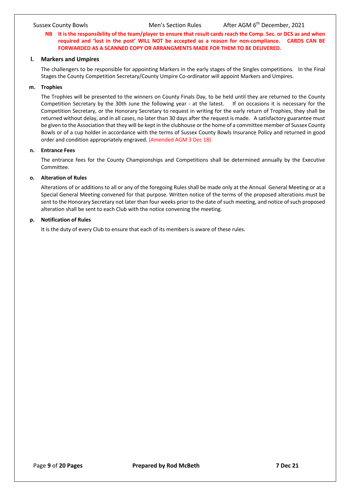#### **NB It is the responsibility of the team/player to ensure that result cards reach the Comp. Sec. or DCS as and when required and 'lost in the post' WILL NOT be accepted as a reason for non-compliance. CARDS CAN BE FORWARDED AS A SCANNED COPY OR ARRANGMENTS MADE FOR THEM TO BE DELIVERED.**

#### **l. Markers and Umpires**

The challengers to be responsible for appointing Markers in the early stages of the Singles competitions. In the Final Stages the County Competition Secretary/County Umpire Co-ordinator will appoint Markers and Umpires.

#### **m. Trophies**

The Trophies will be presented to the winners on County Finals Day, to be held until they are returned to the County Competition Secretary by the 30th June the following year - at the latest. If on occasions it is necessary for the Competition Secretary, or the Honorary Secretary to request in writing for the early return of Trophies, they shall be returned without delay, and in all cases, no later than 30 days after the request is made. A satisfactory guarantee must be given to the Association that they will be kept in the clubhouse or the home of a committee member of Sussex County Bowls or of a cup holder in accordance with the terms of Sussex County Bowls Insurance Policy and returned in good order and condition appropriately engraved. (Amended AGM 3 Dec 18)

#### **n. Entrance Fees**

The entrance fees for the County Championships and Competitions shall be determined annually by the Executive Committee.

### **o. Alteration of Rules**

Alterations of or additions to all or any of the foregoing Rules shall be made only at the Annual General Meeting or at a Special General Meeting convened for that purpose. Written notice of the terms of the proposed alterations must be sent to the Honorary Secretary not later than four weeks prior to the date of such meeting, and notice of such proposed alteration shall be sent to each Club with the notice convening the meeting.

#### **p. Notification of Rules**

It is the duty of every Club to ensure that each of its members is aware of these rules.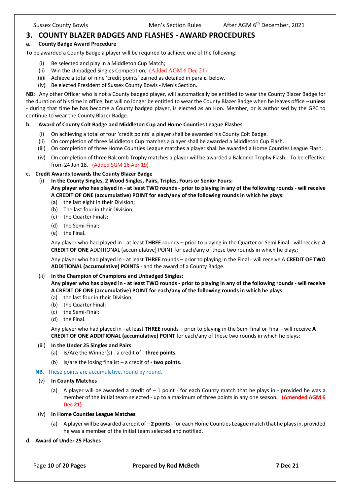# **3. COUNTY BLAZER BADGES AND FLASHES - AWARD PROCEDURES**

#### **a. County Badge Award Procedure**

To be awarded a County Badge a player will be required to achieve one of the following:

- (i) Be selected and play in a Middleton Cup Match;
- (ii) Win the Unbadged Singles Competition; **(**Added AGM 6 Dec 21)
- (ii)i Achieve a total of nine 'credit points' earned as detailed in para **c.** below.
- (iv) Be elected President of Sussex County Bowls Men's Section.

**NB:** Any other Officer who is not a County badged player, will automatically be entitled to wear the County Blazer Badge for the duration of his time in office, but will no longer be entitled to wear the County Blazer Badge when he leaves office – **unless** - during that time he has become a County badged player, is elected as an Hon. Member, or is authorised by the GPC to continue to wear the County Blazer Badge.

#### **b. Award of County Colt Badge and Middleton Cup and Home Counties League Flashes**

- (i) On achieving a total of four 'credit points' a player shall be awarded his County Colt Badge.
- (ii) On completion of three Middleton Cup matches a player shall be awarded a Middleton Cup Flash.
- (iii) On completion of three Home Counties League matches a player shall be awarded a Home Counties League Flash.
- (iv) On completion of three Balcomb Trophy matches a player will be awarded a Balcomb Trophy Flash. To be effective from 24 Jun 18. (Added SGM 16 Apr 19)

#### **c. Credit Awards towards the County Blazer Badge**

- (i) **In the County Singles, 2 Wood Singles, Pairs, Triples, Fours or Senior Fours: Any player who has played in - at least TWO rounds - prior to playing in any of the following rounds - will receive A CREDIT OF ONE (accumulative) POINT for each/any of the following rounds in which he plays:**
	- (a) the last eight in their Division;
	- (b) The last four in their Division;
	- (c) the Quarter Finals;
	- (d) the Semi-Final;
	- (e) the Final**.**

Any player who had played in - at least **THREE** rounds – prior to playing in the Quarter or Semi Final - will receive **A CREDIT OF ONE** ADDITIONAL (accumulative) POINT for each/any of these two rounds in which he plays;

Any player who had played in - at least **THREE** rounds – prior to playing in the FInal - will receive A **CREDIT OF TWO ADDITIONAL (accumulative) POINTS** - and the award of a County Badge.

#### (ii) **In the Champion of Champions and Unbadged Singles:**

**Any player who has played in - at least TWO rounds - prior to playing in any of the following rounds - will receive A CREDIT OF ONE (accumulative) POINT for each/any of the following rounds in which he plays:**

- (a) the last four in their Division;
- (b) the Quarter Final;
- (c) the Semi-Final;
- (d) the Final.

Any player who had played in - at least **THREE** rounds – prior to playing in the Semi final or Final - will receive **A CREDIT OF ONE ADDITIONAL (accumulative) POINT** for each/any of these two rounds in which he plays:

#### (iii) **In the Under 25 Singles and Pairs**

- (a) Is/Are the Winner(s) a credit of **three points.**
- (b) Is/are the losing finalist a credit of **two points**.
- **NB.** These points are accumulative, round by round.
- (v) **In County Matches**
	- (a) A player will be awarded a credit of  $-1$  point for each County match that he plays in provided he was a member of the initial team selected - up to a maximum of three points in any one season**. (Amended AGM 6 Dec 21)**

#### (iv) **In Home Counties League Matches**

- (a) A player will be awarded a credit of **2 points** for each Home Counties League match that he plays in, provided he was a member of the initial team selected and notified.
- **d. Award of Under 25 Flashes**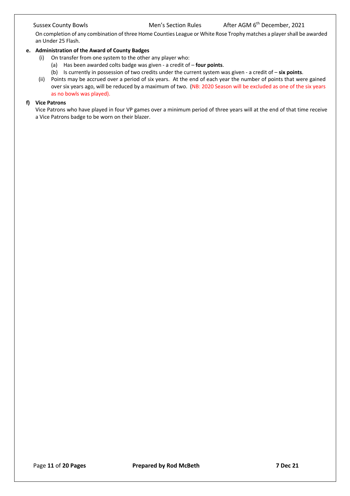On completion of any combination of three Home Counties League or White Rose Trophy matches a player shall be awarded an Under 25 Flash.

#### **e. Administration of the Award of County Badges**

- (i) On transfer from one system to the other any player who:
	- (a) Has been awarded colts badge was given a credit of **four points**.
	- (b) Is currently in possession of two credits under the current system was given a credit of **six points**.
- (ii) Points may be accrued over a period of six years. At the end of each year the number of points that were gained over six years ago, will be reduced by a maximum of two. (NB: 2020 Season will be excluded as one of the six years as no bowls was played).

#### **f) Vice Patrons**

Vice Patrons who have played in four VP games over a minimum period of three years will at the end of that time receive a Vice Patrons badge to be worn on their blazer.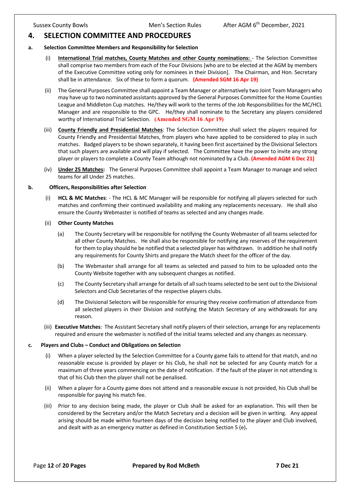# **4. SELECTION COMMITTEE AND PROCEDURES**

#### **a. Selection Committee Members and Responsibility for Selection**

- (i) **International Trial matches, County Matches and other County nominations:**  The Selection Committee shall comprise two members from each of the Four Divisions [who are to be elected at the AGM by members of the Executive Committee voting only for nominees in their Division]. The Chairman, and Hon. Secretary shall be in attendance. Six of these to form a quorum. **(Amended SGM 16 Apr 19)**
- (ii) The General Purposes Committee shall appoint a Team Manager or alternatively two Joint Team Managers who may have up to two nominated assistants approved by the General Purposes Committee for the Home Counties League and Middleton Cup matches. He/they will work to the terms of the Job Responsibilities for the MC/HCL Manager and are responsible to the GPC. He/they shall nominate to the Secretary any players considered worthy of International Trial Selection. **(Amended SGM 16 Apr 19)**
- (iii) **County Friendly and Presidential Matches**: The Selection Committee shall select the players required for County Friendly and Presidential Matches, from players who have applied to be considered to play in such matches. Badged players to be shown separately, it having been first ascertained by the Divisional Selectors that such players are available and will play if selected. The Committee have the power to invite any strong player or players to complete a County Team although not nominated by a Club. **(Amended AGM 6 Dec 21)**
- (iv) **Under 25 Matches:** The General Purposes Committee shall appoint a Team Manager to manage and select teams for all Under 25 matches.

#### **b. Officers, Responsibilities after Selection**

(i) **HCL & MC Matches**: - The HCL & MC Manager will be responsible for notifying all players selected for such matches and confirming their continued availability and making any replacements necessary. He shall also ensure the County Webmaster is notified of teams as selected and any changes made.

#### (ii) **Other County Matches**

- (a) The County Secretary will be responsible for notifying the County Webmaster of all teams selected for all other County Matches. He shall also be responsible for notifying any reserves of the requirement for them to play should he be notified that a selected player has withdrawn. In addition he shall notify any requirements for County Shirts and prepare the Match sheet for the officer of the day.
- (b) The Webmaster shall arrange for all teams as selected and passed to him to be uploaded onto the County Website together with any subsequent changes as notified.
- (c) The County Secretary shall arrange for details of all such teams selected to be sent out to the Divisional Selectors and Club Secretaries of the respective players clubs.
- (d) The Divisional Selectors will be responsible for ensuring they receive confirmation of attendance from all selected players in their Division and notifying the Match Secretary of any withdrawals for any reason.
- (iii) **Executive Matches**: The Assistant Secretary shall notify players of their selection, arrange for any replacements required and ensure the webmaster is notified of the initial teams selected and any changes as necessary.

#### **c. Players and Clubs – Conduct and Obligations on Selection**

- (i) When a player selected by the Selection Committee for a County game fails to attend for that match, and no reasonable excuse is provided by player or his Club, he shall not be selected for any County match for a maximum of three years commencing on the date of notification. If the fault of the player in not attending is that of his Club then the player shall not be penalised.
- (ii) When a player for a County game does not attend and a reasonable excuse is not provided, his Club shall be responsible for paying his match fee.
- (iii) Prior to any decision being made, the player or Club shall be asked for an explanation. This will then be considered by the Secretary and/or the Match Secretary and a decision will be given in writing. Any appeal arising should be made within fourteen days of the decision being notified to the player and Club involved, and dealt with as an emergency matter as defined in Constitution Section 5 (e)**.**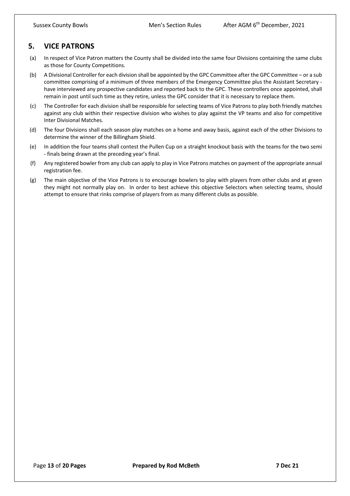# **5. VICE PATRONS**

- (a) In respect of Vice Patron matters the County shall be divided into the same four Divisions containing the same clubs as those for County Competitions.
- (b) A Divisional Controller for each division shall be appointed by the GPC Committee after the GPC Committee or a sub committee comprising of a minimum of three members of the Emergency Committee plus the Assistant Secretary have interviewed any prospective candidates and reported back to the GPC. These controllers once appointed, shall remain in post until such time as they retire, unless the GPC consider that it is necessary to replace them.
- (c) The Controller for each division shall be responsible for selecting teams of Vice Patrons to play both friendly matches against any club within their respective division who wishes to play against the VP teams and also for competitive Inter Divisional Matches.
- (d) The four Divisions shall each season play matches on a home and away basis, against each of the other Divisions to determine the winner of the Billingham Shield.
- (e) In addition the four teams shall contest the Pullen Cup on a straight knockout basis with the teams for the two semi - finals being drawn at the preceding year's final.
- (f) Any registered bowler from any club can apply to play in Vice Patrons matches on payment of the appropriate annual registration fee.
- (g) The main objective of the Vice Patrons is to encourage bowlers to play with players from other clubs and at green they might not normally play on. In order to best achieve this objective Selectors when selecting teams, should attempt to ensure that rinks comprise of players from as many different clubs as possible.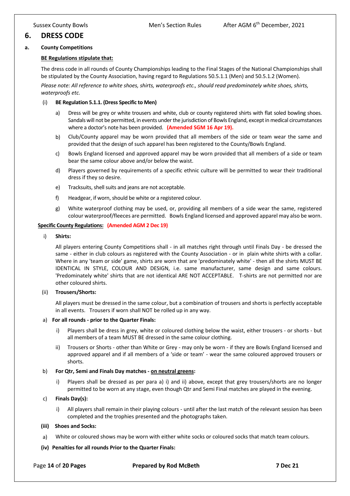# **6. DRESS CODE**

#### **a. County Competitions**

#### **BE Regulations stipulate that:**

The dress code in all rounds of County Championships leading to the Final Stages of the National Championships shall be stipulated by the County Association, having regard to Regulations 50.5.1.1 (Men) and 50.5.1.2 (Women).

*Please note: All reference to white shoes, shirts, waterproofs etc., should read predominately white shoes, shirts, waterproofs etc.*

#### (i) **BE Regulation 5.1.1. (Dress Specific to Men)**

- a) Dress will be grey or white trousers and white, club or county registered shirts with flat soled bowling shoes. Sandals will not be permitted, in events under the jurisdiction of Bowls England, except in medical circumstances where a doctor's note has been provided. **(Amended SGM 16 Apr 19).**
- b) Club/County apparel may be worn provided that all members of the side or team wear the same and provided that the design of such apparel has been registered to the County/Bowls England.
- c) Bowls England licensed and approved apparel may be worn provided that all members of a side or team bear the same colour above and/or below the waist.
- d) Players governed by requirements of a specific ethnic culture will be permitted to wear their traditional dress if they so desire.
- e) Tracksuits, shell suits and jeans are not acceptable.
- f) Headgear, if worn, should be white or a registered colour.
- g) White waterproof clothing may be used, or, providing all members of a side wear the same, registered colour waterproof/fleeces are permitted. Bowls England licensed and approved apparel may also be worn.

#### **Specific County Regulations: (Amended AGM 2 Dec 19)**

i) **Shirts:**

All players entering County Competitions shall - in all matches right through until Finals Day - be dressed the same - either in club colours as registered with the County Association - or in plain white shirts with a collar. Where in any 'team or side' game, shirts are worn that are 'predominately white' - then all the shirts MUST BE IDENTICAL IN STYLE, COLOUR AND DESIGN, i.e. same manufacturer, same design and same colours. 'Predominately white' shirts that are not identical ARE NOT ACCEPTABLE. T-shirts are not permitted nor are other coloured shirts.

#### (ii) **Trousers/Shorts:**

All players must be dressed in the same colour, but a combination of trousers and shorts is perfectly acceptable in all events. Trousers if worn shall NOT be rolled up in any way.

#### a) **For all rounds - prior to the Quarter Finals:**

- i) Players shall be dress in grey, white or coloured clothing below the waist, either trousers or shorts but all members of a team MUST BE dressed in the same colour clothing.
- ii) Trousers or Shorts other than White or Grey may only be worn if they are Bowls England licensed and approved apparel and if all members of a 'side or team' - wear the same coloured approved trousers or shorts.

#### b) **For Qtr, Semi and Finals Day matches - on neutral greens:**

i) Players shall be dressed as per para a) i) and ii) above, except that grey trousers/shorts are no longer permitted to be worn at any stage, even though Qtr and Semi Final matches are played in the evening.

#### c) **Finals Day(s):**

i) All players shall remain in their playing colours - until after the last match of the relevant session has been completed and the trophies presented and the photographs taken.

#### **(iii) Shoes and Socks:**

a) White or coloured shows may be worn with either white socks or coloured socks that match team colours.

#### **(iv) Penalties for all rounds Prior to the Quarter Finals:**

Page **14** of **20 Pages Prepared by Rod McBeth 7 Dec 21**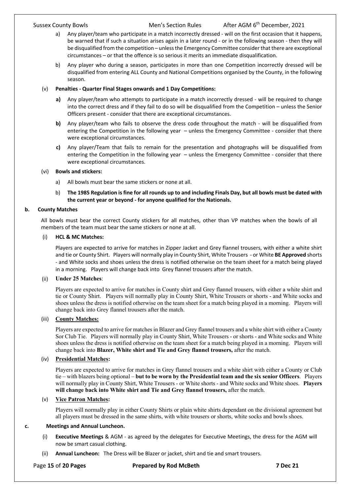- a) Any player/team who participate in a match incorrectly dressed will on the first occasion that it happens, be warned that if such a situation arises again in a later round - or in the following season - then they will be disqualified from the competition – unless the Emergency Committee consider that there are exceptional circumstances – or that the offence is so serious it merits an immediate disqualification.
- b) Any player who during a season, participates in more than one Competition incorrectly dressed will be disqualified from entering ALL County and National Competitions organised by the County, in the following season.

### (v) **Penalties - Quarter Final Stages onwards and 1 Day Competitions:**

- **a)** Any player/team who attempts to participate in a match incorrectly dressed will be required to change into the correct dress and if they fail to do so will be disqualified from the Competition – unless the Senior Officers present - consider that there are exceptional circumstances.
- **b)** Any player/team who fails to observe the dress code throughout the match will be disqualified from entering the Competition in the following year – unless the Emergency Committee - consider that there were exceptional circumstances.
- **c)** Any player/Team that fails to remain for the presentation and photographs will be disqualified from entering the Competition in the following year – unless the Emergency Committee - consider that there were exceptional circumstances.

### (vi) **Bowls and stickers:**

- a) All bowls must bear the same stickers or none at all.
- b) **The 1985 Regulation is fine for all rounds up to and including Finals Day, but all bowls must be dated with the current year or beyond - for anyone qualified for the Nationals.**

### **b. County Matches**

All bowls must bear the correct County stickers for all matches, other than VP matches when the bowls of all members of the team must bear the same stickers or none at all.

### (i) **HCL & MC Matches:**

Players are expected to arrive for matches in Zipper Jacket and Grey flannel trousers, with either a white shirt and tie or County Shirt. Players will normally play in County Shirt, White Trousers - or White **BE Approved** shorts - and White socks and shoes unless the dress is notified otherwise on the team sheet for a match being played in a morning. Players will change back into Grey flannel trousers after the match.

### (ii) **Under 25 Matches**:

Players are expected to arrive for matches in County shirt and Grey flannel trousers, with either a white shirt and tie or County Shirt. Players will normally play in County Shirt, White Trousers or shorts - and White socks and shoes unless the dress is notified otherwise on the team sheet for a match being played in a morning. Players will change back into Grey flannel trousers after the match.

# (iii) **County Matches:**

Players are expected to arrive for matches in Blazer and Grey flannel trousers and a white shirt with either a County Sor Club Tie. Players will normally play in County Shirt, White Trousers - or shorts - and White socks and White shoes unless the dress is notified otherwise on the team sheet for a match being played in a morning. Players will change back into **Blazer, White shirt and Tie and Grey flannel trousers,** after the match.

# (iv) **Presidential Matches:**

Players are expected to arrive for matches in Grey flannel trousers and a white shirt with either a County or Club tie – with blazers being optional – **but to be worn by the Presidential team and the six senior Officers**. Players will normally play in County Shirt, White Trousers - or White shorts - and White socks and White shoes. **Players will change back into White shirt and Tie and Grey flannel trousers,** after the match.

# (v) **Vice Patron Matches:**

Players will normally play in either County Shirts or plain white shirts dependant on the divisional agreement but all players must be dressed in the same shirts, with white trousers or shorts, white socks and bowls shoes.

### **c. Meetings and Annual Luncheon.**

- (i) **Executive Meetings** & AGM as agreed by the delegates for Executive Meetings, the dress for the AGM will now be smart casual clothing.
- (ii) **Annual Luncheon:** The Dress will be Blazer or jacket, shirt and tie and smart trousers.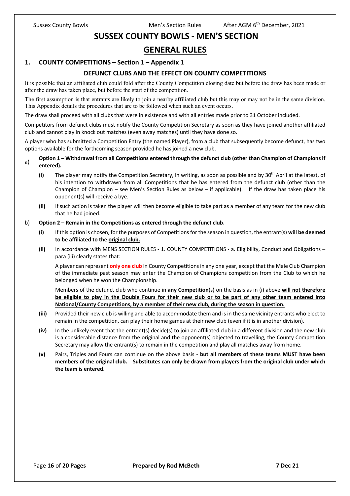# **SUSSEX COUNTY BOWLS - MEN'S SECTION**

# **GENERAL RULES**

# **1. COUNTY COMPETITIONS – Section 1 – Appendix 1**

# **DEFUNCT CLUBS AND THE EFFECT ON COUNTY COMPETITIONS**

It is possible that an affiliated club could fold after the County Competition closing date but before the draw has been made or after the draw has taken place, but before the start of the competition.

The first assumption is that entrants are likely to join a nearby affiliated club but this may or may not be in the same division. This Appendix details the procedures that are to be followed when such an event occurs.

The draw shall proceed with all clubs that were in existence and with all entries made prior to 31 October included.

Competitors from defunct clubs must notify the County Competition Secretary as soon as they have joined another affiliated club and cannot play in knock out matches (even away matches) until they have done so.

A player who has submitted a Competition Entry (the named Player), from a club that subsequently become defunct, has two options available for the forthcoming season provided he has joined a new club.

#### a) **Option 1 – Withdrawal from all Competitions entered through the defunct club (other than Champion of Champions if entered).**

- **(i)** The player may notify the Competition Secretary, in writing, as soon as possible and by 30<sup>th</sup> April at the latest, of his intention to withdrawn from all Competitions that he has entered from the defunct club (other than the Champion of Champion – see Men's Section Rules as below – if applicable). If the draw has taken place his opponent(s) will receive a bye.
- **(ii)** If such action is taken the player will then become eligible to take part as a member of any team for the new club that he had joined.

#### b) **Option 2 – Remain in the Competitions as entered through the defunct club.**

- **(i)** If this option is chosen, for the purposes of Competitions for the season in question, the entrant(s) **will be deemed to be affiliated to the original club.**
- **(ii)** In accordance with MENS SECTION RULES 1. COUNTY COMPETITIONS a. Eligibility, Conduct and Obligations para (iii) clearly states that:

A player can represent **only one club** in County Competitions in any one year, except that the Male Club Champion of the immediate past season may enter the Champion of Champions competition from the Club to which he belonged when he won the Championship.

Members of the defunct club who continue in **any Competition**(s) on the basis as in (i) above **will not therefore be eligible to play in the Double Fours for their new club or to be part of any other team entered into National/County Competitions, by a member of their new club, during the season in question.**

- **(iii)** Provided their new club is willing and able to accommodate them and is in the same vicinity entrants who elect to remain in the competition, can play their home games at their new club (even if it is in another division).
- **(iv)** In the unlikely event that the entrant(s) decide(s) to join an affiliated club in a different division and the new club is a considerable distance from the original and the opponent(s) objected to travelling, the County Competition Secretary may allow the entrant(s) to remain in the competition and play all matches away from home.
- **(v)** Pairs, Triples and Fours can continue on the above basis **but all members of these teams MUST have been members of the original club. Substitutes can only be drawn from players from the original club under which the team is entered.**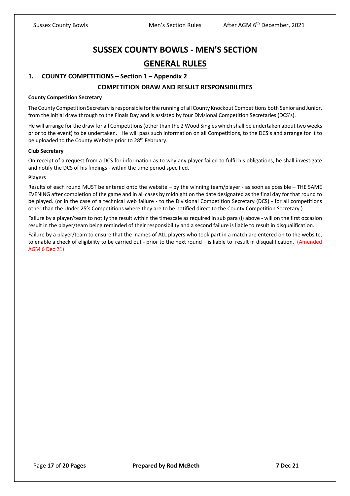# **SUSSEX COUNTY BOWLS - MEN'S SECTION GENERAL RULES**

## **1. COUNTY COMPETITIONS – Section 1 – Appendix 2**

### **COMPETITION DRAW AND RESULT RESPONSIBILITIES**

#### **County Competition Secretary**

The County Competition Secretary is responsible for the running of all County Knockout Competitions both Senior and Junior, from the initial draw through to the Finals Day and is assisted by four Divisional Competition Secretaries (DCS's).

He will arrange for the draw for all Competitions (other than the 2 Wood Singles which shall be undertaken about two weeks prior to the event) to be undertaken. He will pass such information on all Competitions, to the DCS's and arrange for it to be uploaded to the County Website prior to 28<sup>th</sup> February.

#### **Club Secretary**

On receipt of a request from a DCS for information as to why any player failed to fulfil his obligations, he shall investigate and notify the DCS of his findings - within the time period specified.

#### **Players**

Results of each round MUST be entered onto the website – by the winning team/player - as soon as possible – THE SAME EVENING after completion of the game and in all cases by midnight on the date designated as the final day for that round to be played. (or in the case of a technical web failure - to the Divisional Competition Secretary (DCS) - for all competitions other than the Under 25's Competitions where they are to be notified direct to the County Competition Secretary.)

Failure by a player/team to notify the result within the timescale as required in sub para (i) above - will on the first occasion result in the player/team being reminded of their responsibility and a second failure is liable to result in disqualification.

Failure by a player/team to ensure that the names of ALL players who took part in a match are entered on to the website, to enable a check of eligibility to be carried out - prior to the next round – is liable to result in disqualification. (Amended AGM 6 Dec 21)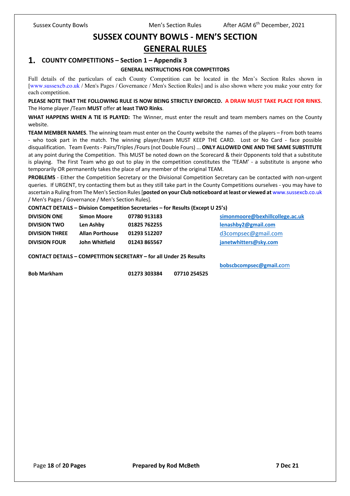# **SUSSEX COUNTY BOWLS - MEN'S SECTION**

# **GENERAL RULES**

# **1. COUNTY COMPETITIONS – Section 1 – Appendix 3**

### **GENERAL INSTRUCTIONS FOR COMPETITORS**

Full details of the particulars of each County Competition can be located in the Men's Section Rules shown in [www.sussexcb.co.uk / Men's Pages / Governance / Men's Section Rules] and is also shown where you make your entry for each competition.

**PLEASE NOTE THAT THE FOLLOWING RULE IS NOW BEING STRICTLY ENFORCED. A DRAW MUST TAKE PLACE FOR RINKS**. The Home player /Team **MUST** offer **at least TWO Rinks**.

WHAT HAPPENS WHEN A TIE IS PLAYED: The Winner, must enter the result and team members names on the County website.

**TEAM MEMBER NAMES**. The winning team must enter on the County website the names of the players – From both teams - who took part in the match. The winning player/team MUST KEEP THE CARD. Lost or No Card - face possible disqualification. Team Events - Pairs/Triples /Fours (not Double Fours) ... **ONLY ALLOWED ONE AND THE SAME SUBSTITUTE** at any point during the Competition. This MUST be noted down on the Scorecard & their Opponents told that a substitute is playing. The First Team who go out to play in the competition constitutes the 'TEAM' - a substitute is anyone who temporarily OR permanently takes the place of any member of the original TEAM.

**PROBLEMS** - Either the Competition Secretary or the Divisional Competition Secretary can be contacted with non-urgent queries. If URGENT, try contacting them but as they still take part in the County Competitions ourselves - you may have to ascertain a Ruling from The Men's Section Rules [**posted on your Club noticeboard at least or viewed at** www.sussexcb.co.uk / Men's Pages / Governance / Men's Section Rules].

#### **CONTACT DETAILS – Division Competition Secretaries – for Results (Except U 25's)**

| <b>DIVISION ONE</b>   | <b>Simon Moore</b>     | 07780 913183 | simonmoore@bexhillcollege.ac.uk |
|-----------------------|------------------------|--------------|---------------------------------|
| <b>DIVISION TWO</b>   | Len Ashby              | 01825 762255 | lenashby2@gmail.com             |
| <b>DIVISION THREE</b> | <b>Allan Porthouse</b> | 01293 512207 | $d3$ compsec@gmail.com          |
| <b>DIVISION FOUR</b>  | John Whitfield         | 01243 865567 | janetwhitters@sky.com           |
|                       |                        |              |                                 |

**CONTACT DETAILS – COMPETITION SECRETARY – for all Under 25 Results**

**bobscbcompsec@gmail.c**om

**Bob Markham 01273 303384 07710 254525**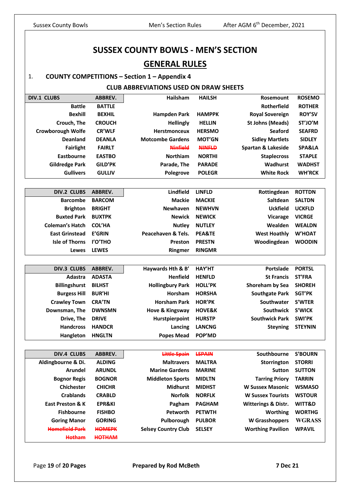# **SUSSEX COUNTY BOWLS - MEN'S SECTION GENERAL RULES**

# 1. **COUNTY COMPETITIONS – Section 1 – Appendix 4**

# **CLUB ABBREVIATIONS USED ON DRAW SHEETS**

| <b>DIV.1 CLUBS</b>       | ABBREV.           | Hailsham                   | <b>HAILSH</b>     | Rosemount                | <b>ROSEMO</b>     |
|--------------------------|-------------------|----------------------------|-------------------|--------------------------|-------------------|
| <b>Battle</b>            | <b>BATTLE</b>     |                            |                   | Rotherfield              | <b>ROTHER</b>     |
| <b>Bexhill</b>           | <b>BEXHIL</b>     | <b>Hampden Park</b>        | <b>HAMPPK</b>     | <b>Royal Sovereign</b>   | <b>ROY'SV</b>     |
| Crouch, The              | <b>CROUCH</b>     | <b>Hellingly</b>           | <b>HELLIN</b>     | <b>St Johns (Meads)</b>  | ST'JO'M           |
| <b>Crowborough Wolfe</b> | <b>CR'WLF</b>     | Herstmonceux               | <b>HERSMO</b>     | <b>Seaford</b>           | <b>SEAFRD</b>     |
| <b>Deanland</b>          | <b>DEANLA</b>     | <b>Motcombe Gardens</b>    | <b>MOT'GN</b>     | <b>Sidley Martlets</b>   | <b>SIDLEY</b>     |
| <b>Fairlight</b>         | <b>FAIRLT</b>     | <b>Ninfield</b>            | <b>NINFLD</b>     | Spartan & Lakeside       | <b>SPA&amp;LA</b> |
| Eastbourne               | <b>EASTBO</b>     | Northiam                   | <b>NORTHI</b>     | <b>Staplecross</b>       | <b>STAPLE</b>     |
| <b>Gildredge Park</b>    | <b>GILD'PK</b>    | Parade, The                | <b>PARADE</b>     | Wadhurst                 | <b>WADHST</b>     |
| <b>Gullivers</b>         | <b>GULLIV</b>     | Polegrove                  | <b>POLEGR</b>     | <b>White Rock</b>        | <b>WH'RCK</b>     |
|                          |                   |                            |                   |                          |                   |
| <b>DIV.2 CLUBS</b>       | <b>ABBREV.</b>    | Lindfield                  | <b>LINFLD</b>     | Rottingdean              | <b>ROTTDN</b>     |
| <b>Barcombe</b>          | <b>BARCOM</b>     | <b>Mackie</b>              | <b>MACKIE</b>     | Saltdean                 | <b>SALTDN</b>     |
| <b>Brighton</b>          | <b>BRIGHT</b>     | Newhaven                   | <b>NEWHVN</b>     | <b>Uckfield</b>          | <b>UCKFLD</b>     |
| <b>Buxted Park</b>       | <b>BUXTPK</b>     | <b>Newick</b>              | <b>NEWICK</b>     | Vicarage                 | <b>VICRGE</b>     |
| <b>Coleman's Hatch</b>   | <b>COL'HA</b>     | <b>Nutley</b>              | <b>NUTLEY</b>     | Wealden                  | <b>WEALDN</b>     |
| <b>East Grinstead</b>    | <b>E'GRIN</b>     | Peacehaven & Tels.         | <b>PEA&amp;TE</b> | <b>West Hoathly</b>      | <b>W'HOAT</b>     |
| <b>Isle of Thorns</b>    | I'O'THO           | Preston                    | <b>PRESTN</b>     | Woodingdean              | <b>WOODIN</b>     |
| Lewes                    | <b>LEWES</b>      | Ringmer                    | <b>RINGMR</b>     |                          |                   |
|                          |                   |                            |                   |                          |                   |
| <b>DIV.3 CLUBS</b>       | ABBREV.           | Haywards Hth & B'          | <b>HAY'HT</b>     | Portslade                | <b>PORTSL</b>     |
| Adastra                  | <b>ADASTA</b>     | Henfield                   | <b>HENFLD</b>     | <b>St Francis</b>        | <b>ST'FRA</b>     |
| <b>Billingshurst</b>     | <b>BILHST</b>     | <b>Hollingbury Park</b>    | <b>HOLL'PK</b>    | Shoreham by Sea          | <b>SHOREH</b>     |
| <b>Burgess Hill</b>      | <b>BUR'HI</b>     | Horsham                    | <b>HORSHA</b>     | <b>Southgate Park</b>    | <b>SGT'PK</b>     |
| <b>Crawley Town</b>      | <b>CRA'TN</b>     | <b>Horsham Park</b>        | <b>HOR'PK</b>     | Southwater               | S'WTER            |
| Downsman, The            | <b>DWNSMN</b>     | Hove & Kingsway            | <b>HOVE&amp;K</b> | Southwick                | <b>S'WICK</b>     |
| Drive, The               | <b>DRIVE</b>      | Hurstpierpoint             | <b>HURSTP</b>     | <b>Southwick Park</b>    | <b>SWI'PK</b>     |
| <b>Handcross</b>         | <b>HANDCR</b>     | Lancing                    | <b>LANCNG</b>     | <b>Steyning</b>          | <b>STEYNIN</b>    |
| Hangleton                | <b>HNGLTN</b>     | <b>Popes Mead</b>          | POP'MD            |                          |                   |
|                          |                   |                            |                   |                          |                   |
| <b>DIV.4 CLUBS</b>       | ABBREV.           | Little Spain               | <b>LSPAIN</b>     | Southbourne              | <b>S'BOURN</b>    |
| Aldingbourne & Di.       | <b>ALDING</b>     | <b>Maltravers</b>          | <b>MALTRA</b>     | Storrington              | <b>STORRI</b>     |
| <b>Arundel</b>           | <b>ARUNDL</b>     | <b>Marine Gardens</b>      | <b>MARINE</b>     | <b>Sutton</b>            | <b>SUTTON</b>     |
| <b>Bognor Regis</b>      | <b>BOGNOR</b>     | <b>Middleton Sports</b>    | <b>MIDLTN</b>     | <b>Tarring Priory</b>    | <b>TARRIN</b>     |
| <b>Chichester</b>        | <b>CHICHR</b>     | <b>Midhurst</b>            | <b>MIDHST</b>     | <b>W Sussex Masonic</b>  | <b>WSMASO</b>     |
| <b>Crablands</b>         | <b>CRABLD</b>     | <b>Norfolk</b>             | <b>NORFLK</b>     | <b>W Sussex Tourists</b> | <b>WSTOUR</b>     |
| East Preston & K         | <b>EPR&amp;KI</b> | Pagham                     | <b>PAGHAM</b>     | Witterings & Distr.      | WITT&D            |
| <b>Fishbourne</b>        | <b>FISHBO</b>     | Petworth                   | <b>PETWTH</b>     | <b>Worthing</b>          | <b>WORTHG</b>     |
| <b>Goring Manor</b>      | <b>GORING</b>     | Pulborough                 | <b>PULBOR</b>     | <b>W</b> Grasshoppers    | <b>WGRASS</b>     |
| <b>Homefield Park</b>    | <b>HOMEPK</b>     | <b>Selsey Country Club</b> | <b>SELSEY</b>     | <b>Worthing Pavilion</b> | <b>WPAVIL</b>     |

Page **19** of **20 Pages Prepared by Rod McBeth 7 Dec 21**

**Hotham HOTHAM**